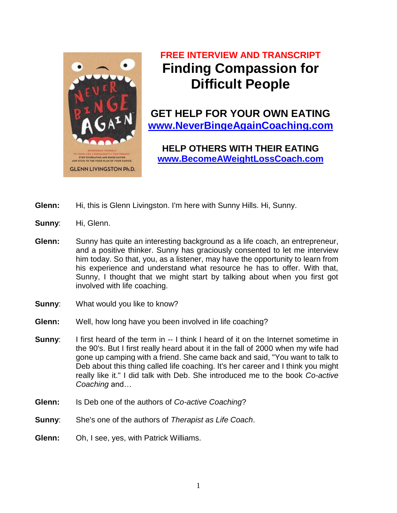

# **FREE INTERVIEW AND TRANSCRIPT Finding Compassion for Difficult People**

**GET HELP FOR YOUR OWN EATING [www.NeverBingeAgainCoaching.com](http://www.neverbingeagaincoaching.com/)**

**HELP OTHERS WITH THEIR EATING [www.BecomeAWeightLossCoach.com](http://www.becomeaweightlosscoach.com/)**

- **Glenn:** Hi, this is Glenn Livingston. I'm here with Sunny Hills. Hi, Sunny.
- **Sunny:** Hi, Glenn.
- **Glenn:** Sunny has quite an interesting background as a life coach, an entrepreneur, and a positive thinker. Sunny has graciously consented to let me interview him today. So that, you, as a listener, may have the opportunity to learn from his experience and understand what resource he has to offer. With that, Sunny, I thought that we might start by talking about when you first got involved with life coaching.
- **Sunny:** What would you like to know?
- **Glenn:** Well, how long have you been involved in life coaching?
- **Sunny:** I first heard of the term in -- I think I heard of it on the Internet sometime in the 90's. But I first really heard about it in the fall of 2000 when my wife had gone up camping with a friend. She came back and said, "You want to talk to Deb about this thing called life coaching. It's her career and I think you might really like it." I did talk with Deb. She introduced me to the book *Co-active Coaching* and…
- **Glenn:** Is Deb one of the authors of *Co-active Coaching*?
- **Sunny**: She's one of the authors of *Therapist as Life Coach*.
- **Glenn:** Oh, I see, yes, with Patrick Williams.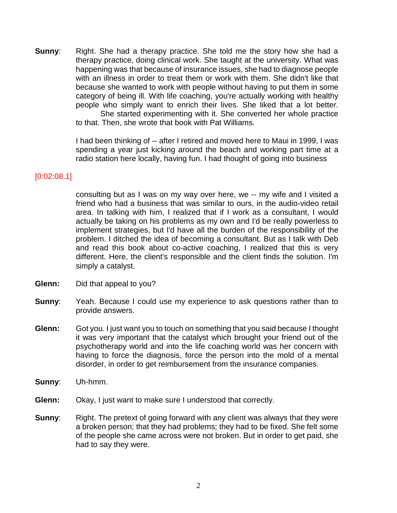**Sunny:** Right. She had a therapy practice. She told me the story how she had a therapy practice, doing clinical work. She taught at the university. What was happening was that because of insurance issues, she had to diagnose people with an illness in order to treat them or work with them. She didn't like that because she wanted to work with people without having to put them in some category of being ill. With life coaching, you're actually working with healthy people who simply want to enrich their lives. She liked that a lot better. She started experimenting with it. She converted her whole practice to that. Then, she wrote that book with Pat Williams.

> I had been thinking of -- after I retired and moved here to Maui in 1999, I was spending a year just kicking around the beach and working part time at a radio station here locally, having fun. I had thought of going into business

#### [0:02:08.1]

consulting but as I was on my way over here, we -- my wife and I visited a friend who had a business that was similar to ours, in the audio-video retail area. In talking with him, I realized that if I work as a consultant, I would actually be taking on his problems as my own and I'd be really powerless to implement strategies, but I'd have all the burden of the responsibility of the problem. I ditched the idea of becoming a consultant. But as I talk with Deb and read this book about co-active coaching, I realized that this is very different. Here, the client's responsible and the client finds the solution. I'm simply a catalyst.

- **Glenn:** Did that appeal to you?
- **Sunny:** Yeah. Because I could use my experience to ask questions rather than to provide answers.
- **Glenn:** Got you. I just want you to touch on something that you said because I thought it was very important that the catalyst which brought your friend out of the psychotherapy world and into the life coaching world was her concern with having to force the diagnosis, force the person into the mold of a mental disorder, in order to get reimbursement from the insurance companies.
- **Sunny**: Uh-hmm.
- **Glenn:** Okay, I just want to make sure I understood that correctly.
- **Sunny:** Right. The pretext of going forward with any client was always that they were a broken person; that they had problems; they had to be fixed. She felt some of the people she came across were not broken. But in order to get paid, she had to say they were.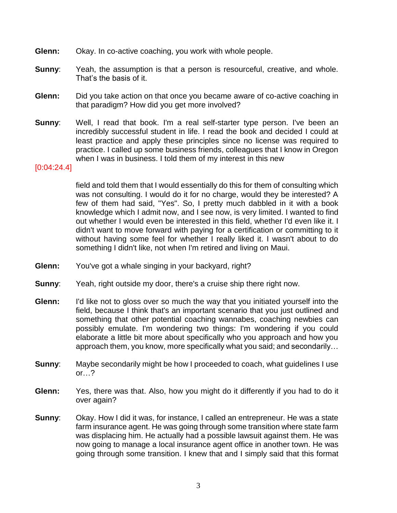- **Glenn:** Okay. In co-active coaching, you work with whole people.
- **Sunny:** Yeah, the assumption is that a person is resourceful, creative, and whole. That's the basis of it.
- **Glenn:** Did you take action on that once you became aware of co-active coaching in that paradigm? How did you get more involved?
- **Sunny:** Well, I read that book. I'm a real self-starter type person. I've been an incredibly successful student in life. I read the book and decided I could at least practice and apply these principles since no license was required to practice. I called up some business friends, colleagues that I know in Oregon when I was in business. I told them of my interest in this new

#### [0:04:24.4]

field and told them that I would essentially do this for them of consulting which was not consulting. I would do it for no charge, would they be interested? A few of them had said, "Yes". So, I pretty much dabbled in it with a book knowledge which I admit now, and I see now, is very limited. I wanted to find out whether I would even be interested in this field, whether I'd even like it. I didn't want to move forward with paying for a certification or committing to it without having some feel for whether I really liked it. I wasn't about to do something I didn't like, not when I'm retired and living on Maui.

- **Glenn:** You've got a whale singing in your backyard, right?
- **Sunny:** Yeah, right outside my door, there's a cruise ship there right now.
- **Glenn:** I'd like not to gloss over so much the way that you initiated yourself into the field, because I think that's an important scenario that you just outlined and something that other potential coaching wannabes, coaching newbies can possibly emulate. I'm wondering two things: I'm wondering if you could elaborate a little bit more about specifically who you approach and how you approach them, you know, more specifically what you said; and secondarily…
- **Sunny**: Maybe secondarily might be how I proceeded to coach, what guidelines I use or…?
- **Glenn:** Yes, there was that. Also, how you might do it differently if you had to do it over again?
- **Sunny:** Okay. How I did it was, for instance, I called an entrepreneur. He was a state farm insurance agent. He was going through some transition where state farm was displacing him. He actually had a possible lawsuit against them. He was now going to manage a local insurance agent office in another town. He was going through some transition. I knew that and I simply said that this format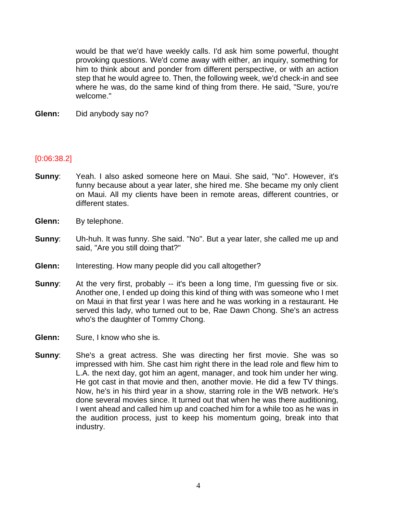would be that we'd have weekly calls. I'd ask him some powerful, thought provoking questions. We'd come away with either, an inquiry, something for him to think about and ponder from different perspective, or with an action step that he would agree to. Then, the following week, we'd check-in and see where he was, do the same kind of thing from there. He said, "Sure, you're welcome."

**Glenn:** Did anybody say no?

#### [0:06:38.2]

- **Sunny**: Yeah. I also asked someone here on Maui. She said, "No". However, it's funny because about a year later, she hired me. She became my only client on Maui. All my clients have been in remote areas, different countries, or different states.
- **Glenn:** By telephone.
- **Sunny**: Uh-huh. It was funny. She said. "No". But a year later, she called me up and said, "Are you still doing that?"
- **Glenn:** Interesting. How many people did you call altogether?
- **Sunny**: At the very first, probably -- it's been a long time, I'm guessing five or six. Another one, I ended up doing this kind of thing with was someone who I met on Maui in that first year I was here and he was working in a restaurant. He served this lady, who turned out to be, Rae Dawn Chong. She's an actress who's the daughter of Tommy Chong.
- **Glenn:** Sure, I know who she is.
- **Sunny**: She's a great actress. She was directing her first movie. She was so impressed with him. She cast him right there in the lead role and flew him to L.A. the next day, got him an agent, manager, and took him under her wing. He got cast in that movie and then, another movie. He did a few TV things. Now, he's in his third year in a show, starring role in the WB network. He's done several movies since. It turned out that when he was there auditioning, I went ahead and called him up and coached him for a while too as he was in the audition process, just to keep his momentum going, break into that industry.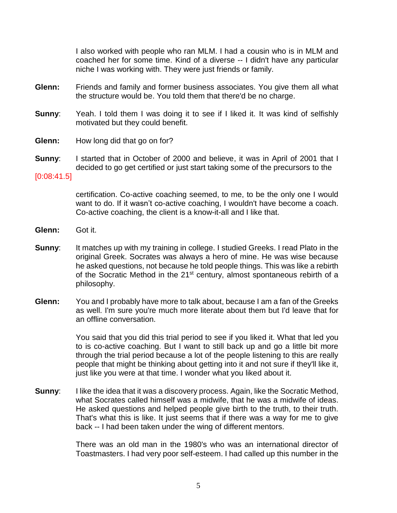I also worked with people who ran MLM. I had a cousin who is in MLM and coached her for some time. Kind of a diverse -- I didn't have any particular niche I was working with. They were just friends or family.

- **Glenn:** Friends and family and former business associates. You give them all what the structure would be. You told them that there'd be no charge.
- **Sunny:** Yeah. I told them I was doing it to see if I liked it. It was kind of selfishly motivated but they could benefit.
- **Glenn:** How long did that go on for?
- **Sunny**: I started that in October of 2000 and believe, it was in April of 2001 that I decided to go get certified or just start taking some of the precursors to the
- [0:08:41.5]

certification. Co-active coaching seemed, to me, to be the only one I would want to do. If it wasn't co-active coaching, I wouldn't have become a coach. Co-active coaching, the client is a know-it-all and I like that.

- **Glenn:** Got it.
- **Sunny:** It matches up with my training in college. I studied Greeks. I read Plato in the original Greek. Socrates was always a hero of mine. He was wise because he asked questions, not because he told people things. This was like a rebirth of the Socratic Method in the 21<sup>st</sup> century, almost spontaneous rebirth of a philosophy.
- **Glenn:** You and I probably have more to talk about, because I am a fan of the Greeks as well. I'm sure you're much more literate about them but I'd leave that for an offline conversation.

You said that you did this trial period to see if you liked it. What that led you to is co-active coaching. But I want to still back up and go a little bit more through the trial period because a lot of the people listening to this are really people that might be thinking about getting into it and not sure if they'll like it, just like you were at that time. I wonder what you liked about it.

**Sunny:** I like the idea that it was a discovery process. Again, like the Socratic Method, what Socrates called himself was a midwife, that he was a midwife of ideas. He asked questions and helped people give birth to the truth, to their truth. That's what this is like. It just seems that if there was a way for me to give back -- I had been taken under the wing of different mentors.

> There was an old man in the 1980's who was an international director of Toastmasters. I had very poor self-esteem. I had called up this number in the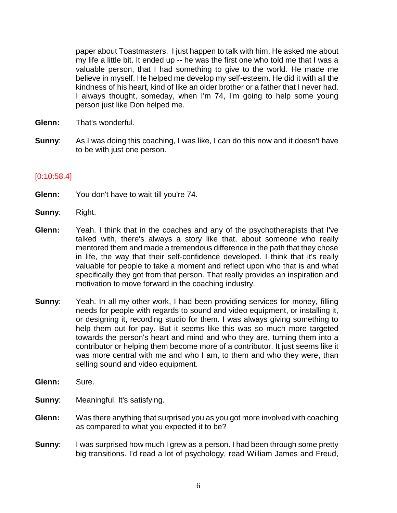paper about Toastmasters. I just happen to talk with him. He asked me about my life a little bit. It ended up -- he was the first one who told me that I was a valuable person, that I had something to give to the world. He made me believe in myself. He helped me develop my self-esteem. He did it with all the kindness of his heart, kind of like an older brother or a father that I never had. I always thought, someday, when I'm 74, I'm going to help some young person just like Don helped me.

- **Glenn:** That's wonderful.
- **Sunny:** As I was doing this coaching, I was like, I can do this now and it doesn't have to be with just one person.

#### [0:10:58.4]

- **Glenn:** You don't have to wait till you're 74.
- **Sunny**: Right.
- **Glenn:** Yeah. I think that in the coaches and any of the psychotherapists that I've talked with, there's always a story like that, about someone who really mentored them and made a tremendous difference in the path that they chose in life, the way that their self-confidence developed. I think that it's really valuable for people to take a moment and reflect upon who that is and what specifically they got from that person. That really provides an inspiration and motivation to move forward in the coaching industry.
- **Sunny:** Yeah. In all my other work, I had been providing services for money, filling needs for people with regards to sound and video equipment, or installing it, or designing it, recording studio for them. I was always giving something to help them out for pay. But it seems like this was so much more targeted towards the person's heart and mind and who they are, turning them into a contributor or helping them become more of a contributor. It just seems like it was more central with me and who I am, to them and who they were, than selling sound and video equipment.
- **Glenn:** Sure.

**Sunny:** Meaningful. It's satisfying.

- **Glenn:** Was there anything that surprised you as you got more involved with coaching as compared to what you expected it to be?
- **Sunny:** I was surprised how much I grew as a person. I had been through some pretty big transitions. I'd read a lot of psychology, read William James and Freud,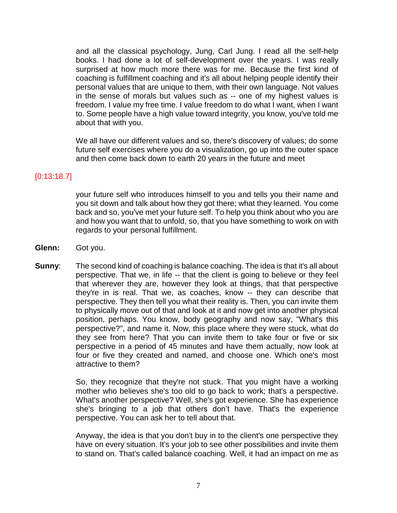and all the classical psychology, Jung, Carl Jung. I read all the self-help books. I had done a lot of self-development over the years. I was really surprised at how much more there was for me. Because the first kind of coaching is fulfillment coaching and it's all about helping people identify their personal values that are unique to them, with their own language. Not values in the sense of morals but values such as -- one of my highest values is freedom. I value my free time. I value freedom to do what I want, when I want to. Some people have a high value toward integrity, you know, you've told me about that with you.

We all have our different values and so, there's discovery of values; do some future self exercises where you do a visualization, go up into the outer space and then come back down to earth 20 years in the future and meet

#### [0:13:18.7]

your future self who introduces himself to you and tells you their name and you sit down and talk about how they got there; what they learned. You come back and so, you've met your future self. To help you think about who you are and how you want that to unfold, so, that you have something to work on with regards to your personal fulfillment.

- **Glenn:** Got you.
- **Sunny:** The second kind of coaching is balance coaching. The idea is that it's all about perspective. That we, in life -- that the client is going to believe or they feel that wherever they are, however they look at things, that that perspective they're in is real. That we, as coaches, know -- they can describe that perspective. They then tell you what their reality is. Then, you can invite them to physically move out of that and look at it and now get into another physical position, perhaps. You know, body geography and now say, "What's this perspective?", and name it. Now, this place where they were stuck, what do they see from here? That you can invite them to take four or five or six perspective in a period of 45 minutes and have them actually, now look at four or five they created and named, and choose one. Which one's most attractive to them?

So, they recognize that they're not stuck. That you might have a working mother who believes she's too old to go back to work; that's a perspective. What's another perspective? Well, she's got experience. She has experience she's bringing to a job that others don't have. That's the experience perspective. You can ask her to tell about that.

Anyway, the idea is that you don't buy in to the client's one perspective they have on every situation. It's your job to see other possibilities and invite them to stand on. That's called balance coaching. Well, it had an impact on me as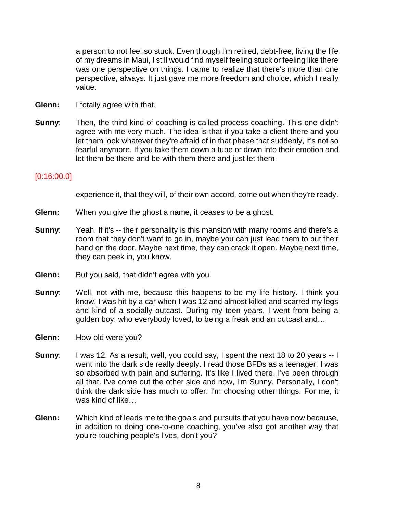a person to not feel so stuck. Even though I'm retired, debt-free, living the life of my dreams in Maui, I still would find myself feeling stuck or feeling like there was one perspective on things. I came to realize that there's more than one perspective, always. It just gave me more freedom and choice, which I really value.

- **Glenn:** I totally agree with that.
- **Sunny:** Then, the third kind of coaching is called process coaching. This one didn't agree with me very much. The idea is that if you take a client there and you let them look whatever they're afraid of in that phase that suddenly, it's not so fearful anymore. If you take them down a tube or down into their emotion and let them be there and be with them there and just let them

#### [0:16:00.0]

experience it, that they will, of their own accord, come out when they're ready.

- **Glenn:** When you give the ghost a name, it ceases to be a ghost.
- **Sunny**: Yeah. If it's -- their personality is this mansion with many rooms and there's a room that they don't want to go in, maybe you can just lead them to put their hand on the door. Maybe next time, they can crack it open. Maybe next time, they can peek in, you know.
- **Glenn:** But you said, that didn't agree with you.
- **Sunny:** Well, not with me, because this happens to be my life history. I think you know, I was hit by a car when I was 12 and almost killed and scarred my legs and kind of a socially outcast. During my teen years, I went from being a golden boy, who everybody loved, to being a freak and an outcast and…
- **Glenn:** How old were you?
- **Sunny**: I was 12. As a result, well, you could say, I spent the next 18 to 20 years -- I went into the dark side really deeply. I read those BFDs as a teenager, I was so absorbed with pain and suffering. It's like I lived there. I've been through all that. I've come out the other side and now, I'm Sunny. Personally, I don't think the dark side has much to offer. I'm choosing other things. For me, it was kind of like…
- **Glenn:** Which kind of leads me to the goals and pursuits that you have now because, in addition to doing one-to-one coaching, you've also got another way that you're touching people's lives, don't you?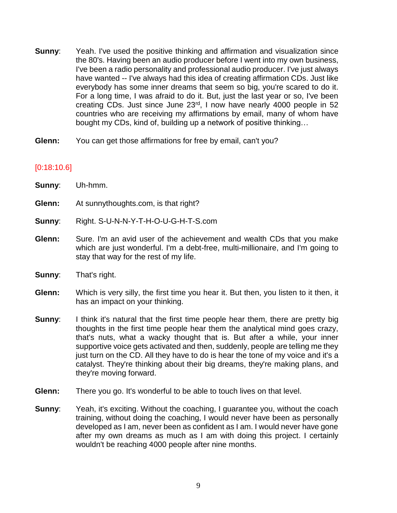- **Sunny:** Yeah. I've used the positive thinking and affirmation and visualization since the 80's. Having been an audio producer before I went into my own business, I've been a radio personality and professional audio producer. I've just always have wanted -- I've always had this idea of creating affirmation CDs. Just like everybody has some inner dreams that seem so big, you're scared to do it. For a long time, I was afraid to do it. But, just the last year or so, I've been creating CDs. Just since June 23rd, I now have nearly 4000 people in 52 countries who are receiving my affirmations by email, many of whom have bought my CDs, kind of, building up a network of positive thinking…
- **Glenn:** You can get those affirmations for free by email, can't you?

### [0:18:10.6]

| Sunny: | Uh-hmm.                                                                                                                                                                                                                                                                                                                      |
|--------|------------------------------------------------------------------------------------------------------------------------------------------------------------------------------------------------------------------------------------------------------------------------------------------------------------------------------|
| Glenn: | At sunnythoughts.com, is that right?                                                                                                                                                                                                                                                                                         |
| Sunny: | Right. S-U-N-N-Y-T-H-O-U-G-H-T-S.com                                                                                                                                                                                                                                                                                         |
| Glenn: | Sure. I'm an avid user of the achievement and wealth CDs that you make<br>which are just wonderful. I'm a debt-free, multi-millionaire, and I'm going to<br>stay that way for the rest of my life.                                                                                                                           |
| Sunny: | That's right.                                                                                                                                                                                                                                                                                                                |
| Glenn: | Which is very silly, the first time you hear it. But then, you listen to it then, it<br>has an impact on your thinking.                                                                                                                                                                                                      |
| Sunny: | I think it's natural that the first time people hear them, there are pretty big<br>thoughts in the first time people hear them the analytical mind goes crazy,<br>that's nuts, what a wacky thought that is. But after a while, your inner<br>supportive voice gets activated and then, suddenly, people are telling me they |

- supportive voice gets activated and then, suddenly, people are telling me they just turn on the CD. All they have to do is hear the tone of my voice and it's a catalyst. They're thinking about their big dreams, they're making plans, and they're moving forward.
- **Glenn:** There you go. It's wonderful to be able to touch lives on that level.
- **Sunny:** Yeah, it's exciting. Without the coaching, I guarantee you, without the coach training, without doing the coaching, I would never have been as personally developed as I am, never been as confident as I am. I would never have gone after my own dreams as much as I am with doing this project. I certainly wouldn't be reaching 4000 people after nine months.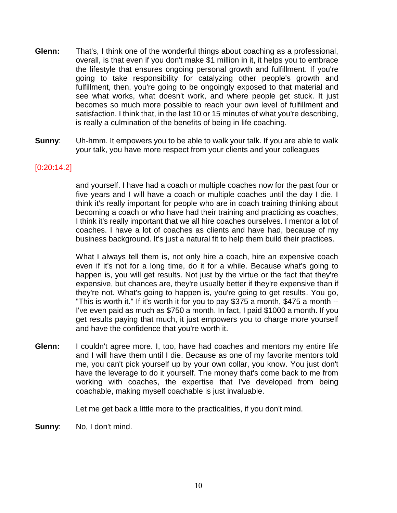- **Glenn:** That's, I think one of the wonderful things about coaching as a professional, overall, is that even if you don't make \$1 million in it, it helps you to embrace the lifestyle that ensures ongoing personal growth and fulfillment. If you're going to take responsibility for catalyzing other people's growth and fulfillment, then, you're going to be ongoingly exposed to that material and see what works, what doesn't work, and where people get stuck. It just becomes so much more possible to reach your own level of fulfillment and satisfaction. I think that, in the last 10 or 15 minutes of what you're describing, is really a culmination of the benefits of being in life coaching.
- **Sunny**: Uh-hmm. It empowers you to be able to walk your talk. If you are able to walk your talk, you have more respect from your clients and your colleagues

#### [0:20:14.2]

and yourself. I have had a coach or multiple coaches now for the past four or five years and I will have a coach or multiple coaches until the day I die. I think it's really important for people who are in coach training thinking about becoming a coach or who have had their training and practicing as coaches, I think it's really important that we all hire coaches ourselves. I mentor a lot of coaches. I have a lot of coaches as clients and have had, because of my business background. It's just a natural fit to help them build their practices.

What I always tell them is, not only hire a coach, hire an expensive coach even if it's not for a long time, do it for a while. Because what's going to happen is, you will get results. Not just by the virtue or the fact that they're expensive, but chances are, they're usually better if they're expensive than if they're not. What's going to happen is, you're going to get results. You go, "This is worth it." If it's worth it for you to pay \$375 a month, \$475 a month -- I've even paid as much as \$750 a month. In fact, I paid \$1000 a month. If you get results paying that much, it just empowers you to charge more yourself and have the confidence that you're worth it.

**Glenn:** I couldn't agree more. I, too, have had coaches and mentors my entire life and I will have them until I die. Because as one of my favorite mentors told me, you can't pick yourself up by your own collar, you know. You just don't have the leverage to do it yourself. The money that's come back to me from working with coaches, the expertise that I've developed from being coachable, making myself coachable is just invaluable.

Let me get back a little more to the practicalities, if you don't mind.

**Sunny:** No, I don't mind.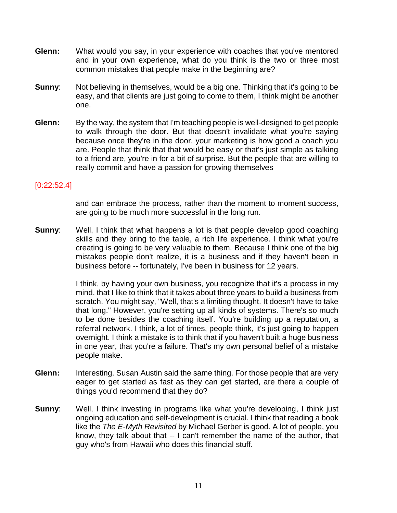- **Glenn:** What would you say, in your experience with coaches that you've mentored and in your own experience, what do you think is the two or three most common mistakes that people make in the beginning are?
- **Sunny**: Not believing in themselves, would be a big one. Thinking that it's going to be easy, and that clients are just going to come to them, I think might be another one.
- **Glenn:** By the way, the system that I'm teaching people is well-designed to get people to walk through the door. But that doesn't invalidate what you're saying because once they're in the door, your marketing is how good a coach you are. People that think that that would be easy or that's just simple as talking to a friend are, you're in for a bit of surprise. But the people that are willing to really commit and have a passion for growing themselves

#### [0:22:52.4]

and can embrace the process, rather than the moment to moment success, are going to be much more successful in the long run.

**Sunny:** Well, I think that what happens a lot is that people develop good coaching skills and they bring to the table, a rich life experience. I think what you're creating is going to be very valuable to them. Because I think one of the big mistakes people don't realize, it is a business and if they haven't been in business before -- fortunately, I've been in business for 12 years.

> I think, by having your own business, you recognize that it's a process in my mind, that I like to think that it takes about three years to build a business from scratch. You might say, "Well, that's a limiting thought. It doesn't have to take that long." However, you're setting up all kinds of systems. There's so much to be done besides the coaching itself. You're building up a reputation, a referral network. I think, a lot of times, people think, it's just going to happen overnight. I think a mistake is to think that if you haven't built a huge business in one year, that you're a failure. That's my own personal belief of a mistake people make.

- **Glenn:** Interesting. Susan Austin said the same thing. For those people that are very eager to get started as fast as they can get started, are there a couple of things you'd recommend that they do?
- **Sunny:** Well, I think investing in programs like what you're developing, I think just ongoing education and self-development is crucial. I think that reading a book like the *The E-Myth Revisited* by Michael Gerber is good. A lot of people, you know, they talk about that -- I can't remember the name of the author, that guy who's from Hawaii who does this financial stuff.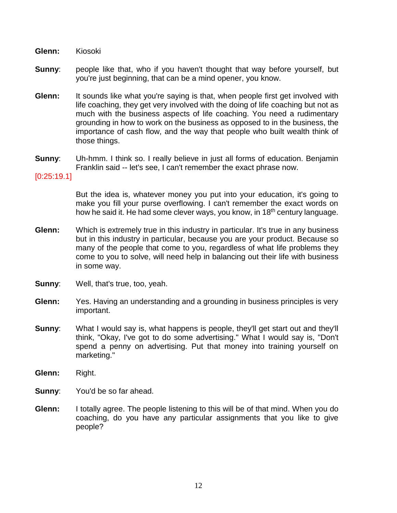**Glenn:** Kiosoki

- **Sunny:** people like that, who if you haven't thought that way before yourself, but you're just beginning, that can be a mind opener, you know.
- **Glenn:** It sounds like what you're saying is that, when people first get involved with life coaching, they get very involved with the doing of life coaching but not as much with the business aspects of life coaching. You need a rudimentary grounding in how to work on the business as opposed to in the business, the importance of cash flow, and the way that people who built wealth think of those things.
- **Sunny**: Uh-hmm. I think so. I really believe in just all forms of education. Benjamin Franklin said -- let's see, I can't remember the exact phrase now.

#### [0:25:19.1]

But the idea is, whatever money you put into your education, it's going to make you fill your purse overflowing. I can't remember the exact words on how he said it. He had some clever ways, you know, in 18<sup>th</sup> century language.

- **Glenn:** Which is extremely true in this industry in particular. It's true in any business but in this industry in particular, because you are your product. Because so many of the people that come to you, regardless of what life problems they come to you to solve, will need help in balancing out their life with business in some way.
- **Sunny:** Well, that's true, too, yeah.
- **Glenn:** Yes. Having an understanding and a grounding in business principles is very important.
- **Sunny**: What I would say is, what happens is people, they'll get start out and they'll think, "Okay, I've got to do some advertising." What I would say is, "Don't spend a penny on advertising. Put that money into training yourself on marketing."
- **Glenn:** Right.
- **Sunny:** You'd be so far ahead.
- **Glenn:** I totally agree. The people listening to this will be of that mind. When you do coaching, do you have any particular assignments that you like to give people?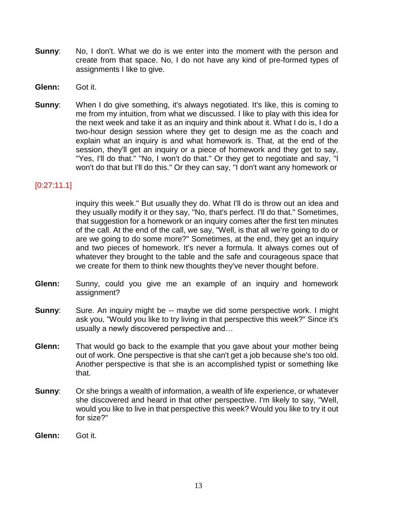- **Sunny**: No, I don't. What we do is we enter into the moment with the person and create from that space. No, I do not have any kind of pre-formed types of assignments I like to give.
- **Glenn:** Got it.
- **Sunny:** When I do give something, it's always negotiated. It's like, this is coming to me from my intuition, from what we discussed. I like to play with this idea for the next week and take it as an inquiry and think about it. What I do is, I do a two-hour design session where they get to design me as the coach and explain what an inquiry is and what homework is. That, at the end of the session, they'll get an inquiry or a piece of homework and they get to say, "Yes, I'll do that." "No, I won't do that." Or they get to negotiate and say, "I won't do that but I'll do this." Or they can say, "I don't want any homework or

#### [0:27:11.1]

inquiry this week." But usually they do. What I'll do is throw out an idea and they usually modify it or they say, "No, that's perfect. I'll do that." Sometimes, that suggestion for a homework or an inquiry comes after the first ten minutes of the call. At the end of the call, we say, "Well, is that all we're going to do or are we going to do some more?" Sometimes, at the end, they get an inquiry and two pieces of homework. It's never a formula. It always comes out of whatever they brought to the table and the safe and courageous space that we create for them to think new thoughts they've never thought before.

- **Glenn:** Sunny, could you give me an example of an inquiry and homework assignment?
- **Sunny:** Sure. An inquiry might be -- maybe we did some perspective work. I might ask you, "Would you like to try living in that perspective this week?" Since it's usually a newly discovered perspective and…
- **Glenn:** That would go back to the example that you gave about your mother being out of work. One perspective is that she can't get a job because she's too old. Another perspective is that she is an accomplished typist or something like that.
- **Sunny:** Or she brings a wealth of information, a wealth of life experience, or whatever she discovered and heard in that other perspective. I'm likely to say, "Well, would you like to live in that perspective this week? Would you like to try it out for size?"
- **Glenn:** Got it.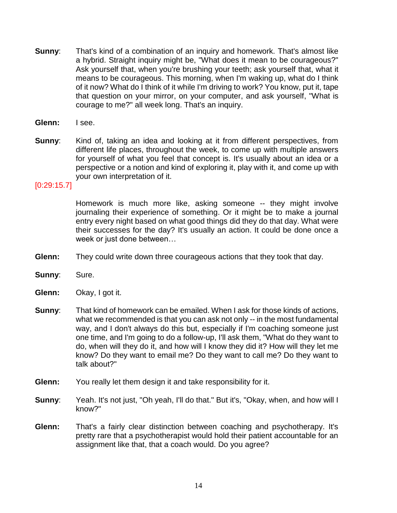- **Sunny**: That's kind of a combination of an inquiry and homework. That's almost like a hybrid. Straight inquiry might be, "What does it mean to be courageous?" Ask yourself that, when you're brushing your teeth; ask yourself that, what it means to be courageous. This morning, when I'm waking up, what do I think of it now? What do I think of it while I'm driving to work? You know, put it, tape that question on your mirror, on your computer, and ask yourself, "What is courage to me?" all week long. That's an inquiry.
- **Glenn:** I see.
- **Sunny:** Kind of, taking an idea and looking at it from different perspectives, from different life places, throughout the week, to come up with multiple answers for yourself of what you feel that concept is. It's usually about an idea or a perspective or a notion and kind of exploring it, play with it, and come up with your own interpretation of it.

#### [0:29:15.7]

Homework is much more like, asking someone -- they might involve journaling their experience of something. Or it might be to make a journal entry every night based on what good things did they do that day. What were their successes for the day? It's usually an action. It could be done once a week or just done between…

- **Glenn:** They could write down three courageous actions that they took that day.
- **Sunny**: Sure.
- **Glenn:** Okay, I got it.
- **Sunny**: That kind of homework can be emailed. When I ask for those kinds of actions, what we recommended is that you can ask not only -- in the most fundamental way, and I don't always do this but, especially if I'm coaching someone just one time, and I'm going to do a follow-up, I'll ask them, "What do they want to do, when will they do it, and how will I know they did it? How will they let me know? Do they want to email me? Do they want to call me? Do they want to talk about?"
- **Glenn:** You really let them design it and take responsibility for it.
- **Sunny:** Yeah. It's not just, "Oh yeah, I'll do that." But it's, "Okay, when, and how will I know?"
- **Glenn:** That's a fairly clear distinction between coaching and psychotherapy. It's pretty rare that a psychotherapist would hold their patient accountable for an assignment like that, that a coach would. Do you agree?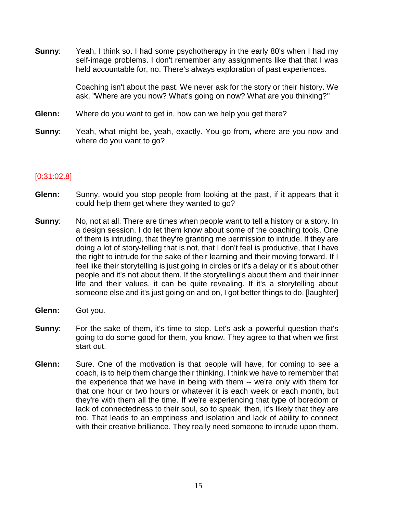**Sunny**: Yeah, I think so. I had some psychotherapy in the early 80's when I had my self-image problems. I don't remember any assignments like that that I was held accountable for, no. There's always exploration of past experiences.

> Coaching isn't about the past. We never ask for the story or their history. We ask, "Where are you now? What's going on now? What are you thinking?"

- **Glenn:** Where do you want to get in, how can we help you get there?
- **Sunny:** Yeah, what might be, yeah, exactly. You go from, where are you now and where do you want to go?

#### [0:31:02.8]

- **Glenn:** Sunny, would you stop people from looking at the past, if it appears that it could help them get where they wanted to go?
- **Sunny:** No, not at all. There are times when people want to tell a history or a story. In a design session, I do let them know about some of the coaching tools. One of them is intruding, that they're granting me permission to intrude. If they are doing a lot of story-telling that is not, that I don't feel is productive, that I have the right to intrude for the sake of their learning and their moving forward. If I feel like their storytelling is just going in circles or it's a delay or it's about other people and it's not about them. If the storytelling's about them and their inner life and their values, it can be quite revealing. If it's a storytelling about someone else and it's just going on and on, I got better things to do. [laughter]
- **Glenn:** Got you.
- **Sunny:** For the sake of them, it's time to stop. Let's ask a powerful question that's going to do some good for them, you know. They agree to that when we first start out.
- **Glenn:** Sure. One of the motivation is that people will have, for coming to see a coach, is to help them change their thinking. I think we have to remember that the experience that we have in being with them -- we're only with them for that one hour or two hours or whatever it is each week or each month, but they're with them all the time. If we're experiencing that type of boredom or lack of connectedness to their soul, so to speak, then, it's likely that they are too. That leads to an emptiness and isolation and lack of ability to connect with their creative brilliance. They really need someone to intrude upon them.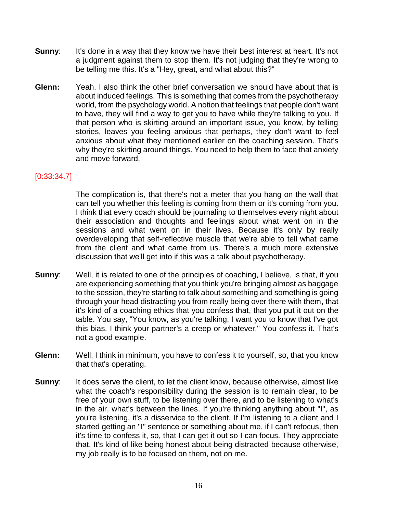- **Sunny:** It's done in a way that they know we have their best interest at heart. It's not a judgment against them to stop them. It's not judging that they're wrong to be telling me this. It's a "Hey, great, and what about this?"
- **Glenn:** Yeah. I also think the other brief conversation we should have about that is about induced feelings. This is something that comes from the psychotherapy world, from the psychology world. A notion that feelings that people don't want to have, they will find a way to get you to have while they're talking to you. If that person who is skirting around an important issue, you know, by telling stories, leaves you feeling anxious that perhaps, they don't want to feel anxious about what they mentioned earlier on the coaching session. That's why they're skirting around things. You need to help them to face that anxiety and move forward.

#### [0:33:34.7]

The complication is, that there's not a meter that you hang on the wall that can tell you whether this feeling is coming from them or it's coming from you. I think that every coach should be journaling to themselves every night about their association and thoughts and feelings about what went on in the sessions and what went on in their lives. Because it's only by really overdeveloping that self-reflective muscle that we're able to tell what came from the client and what came from us. There's a much more extensive discussion that we'll get into if this was a talk about psychotherapy.

- **Sunny:** Well, it is related to one of the principles of coaching, I believe, is that, if you are experiencing something that you think you're bringing almost as baggage to the session, they're starting to talk about something and something is going through your head distracting you from really being over there with them, that it's kind of a coaching ethics that you confess that, that you put it out on the table. You say, "You know, as you're talking, I want you to know that I've got this bias. I think your partner's a creep or whatever." You confess it. That's not a good example.
- **Glenn:** Well, I think in minimum, you have to confess it to yourself, so, that you know that that's operating.
- **Sunny:** It does serve the client, to let the client know, because otherwise, almost like what the coach's responsibility during the session is to remain clear, to be free of your own stuff, to be listening over there, and to be listening to what's in the air, what's between the lines. If you're thinking anything about "I", as you're listening, it's a disservice to the client. If I'm listening to a client and I started getting an "I" sentence or something about me, if I can't refocus, then it's time to confess it, so, that I can get it out so I can focus. They appreciate that. It's kind of like being honest about being distracted because otherwise, my job really is to be focused on them, not on me.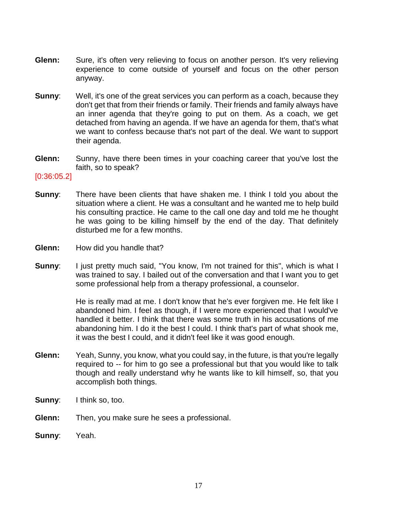- **Glenn:** Sure, it's often very relieving to focus on another person. It's very relieving experience to come outside of yourself and focus on the other person anyway.
- **Sunny:** Well, it's one of the great services you can perform as a coach, because they don't get that from their friends or family. Their friends and family always have an inner agenda that they're going to put on them. As a coach, we get detached from having an agenda. If we have an agenda for them, that's what we want to confess because that's not part of the deal. We want to support their agenda.
- **Glenn:** Sunny, have there been times in your coaching career that you've lost the faith, so to speak?

#### [0:36:05.2]

- **Sunny**: There have been clients that have shaken me. I think I told you about the situation where a client. He was a consultant and he wanted me to help build his consulting practice. He came to the call one day and told me he thought he was going to be killing himself by the end of the day. That definitely disturbed me for a few months.
- **Glenn:** How did you handle that?
- **Sunny:** I just pretty much said, "You know, I'm not trained for this", which is what I was trained to say. I bailed out of the conversation and that I want you to get some professional help from a therapy professional, a counselor.

He is really mad at me. I don't know that he's ever forgiven me. He felt like I abandoned him. I feel as though, if I were more experienced that I would've handled it better. I think that there was some truth in his accusations of me abandoning him. I do it the best I could. I think that's part of what shook me, it was the best I could, and it didn't feel like it was good enough.

- **Glenn:** Yeah, Sunny, you know, what you could say, in the future, is that you're legally required to -- for him to go see a professional but that you would like to talk though and really understand why he wants like to kill himself, so, that you accomplish both things.
- **Sunny:** I think so, too.
- **Glenn:** Then, you make sure he sees a professional.
- **Sunny**: Yeah.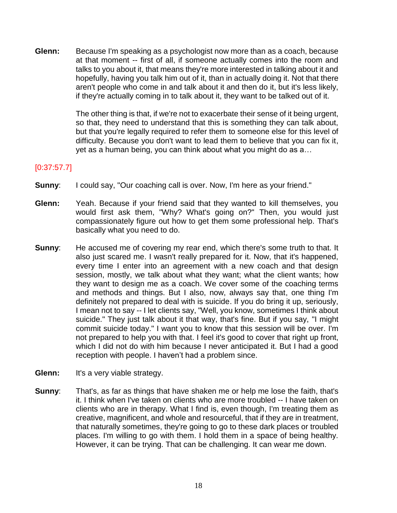**Glenn:** Because I'm speaking as a psychologist now more than as a coach, because at that moment -- first of all, if someone actually comes into the room and talks to you about it, that means they're more interested in talking about it and hopefully, having you talk him out of it, than in actually doing it. Not that there aren't people who come in and talk about it and then do it, but it's less likely, if they're actually coming in to talk about it, they want to be talked out of it.

> The other thing is that, if we're not to exacerbate their sense of it being urgent, so that, they need to understand that this is something they can talk about, but that you're legally required to refer them to someone else for this level of difficulty. Because you don't want to lead them to believe that you can fix it, yet as a human being, you can think about what you might do as a…

## [0:37:57.7]

- **Sunny:** I could say, "Our coaching call is over. Now, I'm here as your friend."
- **Glenn:** Yeah. Because if your friend said that they wanted to kill themselves, you would first ask them, "Why? What's going on?" Then, you would just compassionately figure out how to get them some professional help. That's basically what you need to do.
- **Sunny:** He accused me of covering my rear end, which there's some truth to that. It also just scared me. I wasn't really prepared for it. Now, that it's happened, every time I enter into an agreement with a new coach and that design session, mostly, we talk about what they want; what the client wants; how they want to design me as a coach. We cover some of the coaching terms and methods and things. But I also, now, always say that, one thing I'm definitely not prepared to deal with is suicide. If you do bring it up, seriously, I mean not to say -- I let clients say, "Well, you know, sometimes I think about suicide." They just talk about it that way, that's fine. But if you say, "I might commit suicide today." I want you to know that this session will be over. I'm not prepared to help you with that. I feel it's good to cover that right up front, which I did not do with him because I never anticipated it. But I had a good reception with people. I haven't had a problem since.
- **Glenn:** It's a very viable strategy.
- **Sunny**: That's, as far as things that have shaken me or help me lose the faith, that's it. I think when I've taken on clients who are more troubled -- I have taken on clients who are in therapy. What I find is, even though, I'm treating them as creative, magnificent, and whole and resourceful, that if they are in treatment, that naturally sometimes, they're going to go to these dark places or troubled places. I'm willing to go with them. I hold them in a space of being healthy. However, it can be trying. That can be challenging. It can wear me down.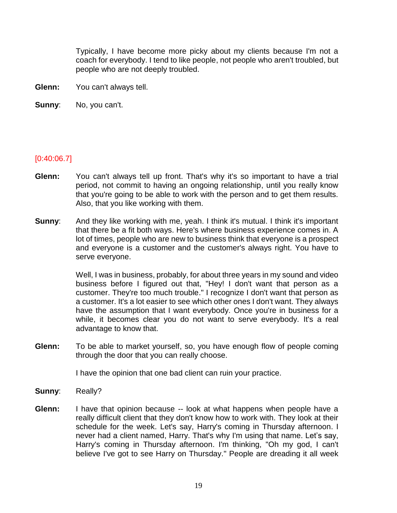Typically, I have become more picky about my clients because I'm not a coach for everybody. I tend to like people, not people who aren't troubled, but people who are not deeply troubled.

- **Glenn:** You can't always tell.
- **Sunny**: No, you can't.

#### [0:40:06.7]

- **Glenn:** You can't always tell up front. That's why it's so important to have a trial period, not commit to having an ongoing relationship, until you really know that you're going to be able to work with the person and to get them results. Also, that you like working with them.
- **Sunny**: And they like working with me, yeah. I think it's mutual. I think it's important that there be a fit both ways. Here's where business experience comes in. A lot of times, people who are new to business think that everyone is a prospect and everyone is a customer and the customer's always right. You have to serve everyone.

Well, I was in business, probably, for about three years in my sound and video business before I figured out that, "Hey! I don't want that person as a customer. They're too much trouble." I recognize I don't want that person as a customer. It's a lot easier to see which other ones I don't want. They always have the assumption that I want everybody. Once you're in business for a while, it becomes clear you do not want to serve everybody. It's a real advantage to know that.

**Glenn:** To be able to market yourself, so, you have enough flow of people coming through the door that you can really choose.

I have the opinion that one bad client can ruin your practice.

- **Sunny**: Really?
- **Glenn:** I have that opinion because -- look at what happens when people have a really difficult client that they don't know how to work with. They look at their schedule for the week. Let's say, Harry's coming in Thursday afternoon. I never had a client named, Harry. That's why I'm using that name. Let's say, Harry's coming in Thursday afternoon. I'm thinking, "Oh my god, I can't believe I've got to see Harry on Thursday." People are dreading it all week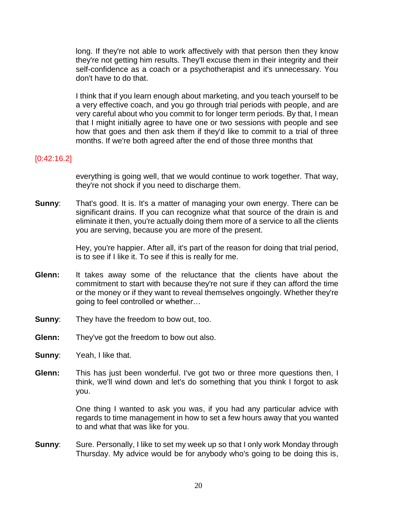long. If they're not able to work affectively with that person then they know they're not getting him results. They'll excuse them in their integrity and their self-confidence as a coach or a psychotherapist and it's unnecessary. You don't have to do that.

I think that if you learn enough about marketing, and you teach yourself to be a very effective coach, and you go through trial periods with people, and are very careful about who you commit to for longer term periods. By that, I mean that I might initially agree to have one or two sessions with people and see how that goes and then ask them if they'd like to commit to a trial of three months. If we're both agreed after the end of those three months that

#### [0:42:16.2]

everything is going well, that we would continue to work together. That way, they're not shock if you need to discharge them.

**Sunny:** That's good. It is. It's a matter of managing your own energy. There can be significant drains. If you can recognize what that source of the drain is and eliminate it then, you're actually doing them more of a service to all the clients you are serving, because you are more of the present.

> Hey, you're happier. After all, it's part of the reason for doing that trial period, is to see if I like it. To see if this is really for me.

- **Glenn:** It takes away some of the reluctance that the clients have about the commitment to start with because they're not sure if they can afford the time or the money or if they want to reveal themselves ongoingly. Whether they're going to feel controlled or whether…
- **Sunny:** They have the freedom to bow out, too.
- **Glenn:** They've got the freedom to bow out also.
- **Sunny**: Yeah, I like that.
- **Glenn:** This has just been wonderful. I've got two or three more questions then, I think, we'll wind down and let's do something that you think I forgot to ask you.

One thing I wanted to ask you was, if you had any particular advice with regards to time management in how to set a few hours away that you wanted to and what that was like for you.

**Sunny:** Sure. Personally, I like to set my week up so that I only work Monday through Thursday. My advice would be for anybody who's going to be doing this is,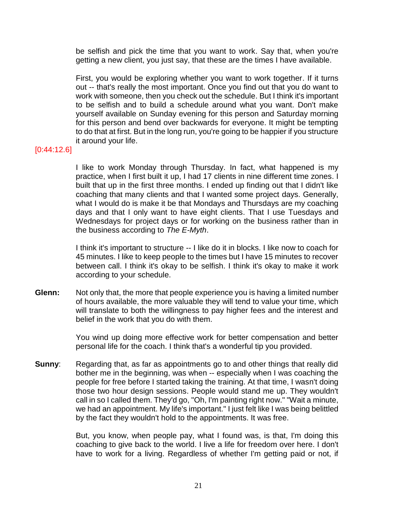be selfish and pick the time that you want to work. Say that, when you're getting a new client, you just say, that these are the times I have available.

First, you would be exploring whether you want to work together. If it turns out -- that's really the most important. Once you find out that you do want to work with someone, then you check out the schedule. But I think it's important to be selfish and to build a schedule around what you want. Don't make yourself available on Sunday evening for this person and Saturday morning for this person and bend over backwards for everyone. It might be tempting to do that at first. But in the long run, you're going to be happier if you structure it around your life.

#### [0:44:12.6]

I like to work Monday through Thursday. In fact, what happened is my practice, when I first built it up, I had 17 clients in nine different time zones. I built that up in the first three months. I ended up finding out that I didn't like coaching that many clients and that I wanted some project days. Generally, what I would do is make it be that Mondays and Thursdays are my coaching days and that I only want to have eight clients. That I use Tuesdays and Wednesdays for project days or for working on the business rather than in the business according to *The E-Myth*.

I think it's important to structure -- I like do it in blocks. I like now to coach for 45 minutes. I like to keep people to the times but I have 15 minutes to recover between call. I think it's okay to be selfish. I think it's okay to make it work according to your schedule.

**Glenn:** Not only that, the more that people experience you is having a limited number of hours available, the more valuable they will tend to value your time, which will translate to both the willingness to pay higher fees and the interest and belief in the work that you do with them.

> You wind up doing more effective work for better compensation and better personal life for the coach. I think that's a wonderful tip you provided.

**Sunny:** Regarding that, as far as appointments go to and other things that really did bother me in the beginning, was when -- especially when I was coaching the people for free before I started taking the training. At that time, I wasn't doing those two hour design sessions. People would stand me up. They wouldn't call in so I called them. They'd go, "Oh, I'm painting right now." "Wait a minute, we had an appointment. My life's important." I just felt like I was being belittled by the fact they wouldn't hold to the appointments. It was free.

> But, you know, when people pay, what I found was, is that, I'm doing this coaching to give back to the world. I live a life for freedom over here. I don't have to work for a living. Regardless of whether I'm getting paid or not, if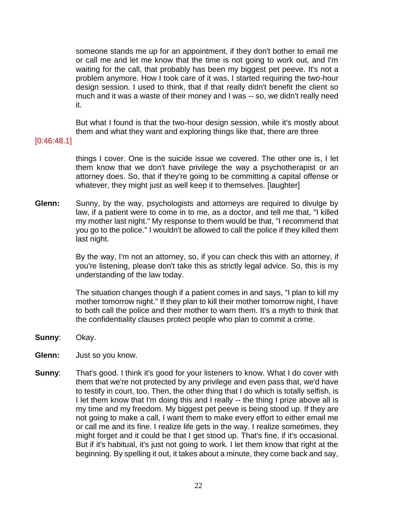someone stands me up for an appointment, if they don't bother to email me or call me and let me know that the time is not going to work out, and I'm waiting for the call, that probably has been my biggest pet peeve. It's not a problem anymore. How I took care of it was, I started requiring the two-hour design session. I used to think, that if that really didn't benefit the client so much and it was a waste of their money and I was -- so, we didn't really need it.

But what I found is that the two-hour design session, while it's mostly about them and what they want and exploring things like that, there are three

[0:46:48.1]

things I cover. One is the suicide issue we covered. The other one is, I let them know that we don't have privilege the way a psychotherapist or an attorney does. So, that if they're going to be committing a capital offense or whatever, they might just as well keep it to themselves. [laughter]

**Glenn:** Sunny, by the way, psychologists and attorneys are required to divulge by law, if a patient were to come in to me, as a doctor, and tell me that, "I killed my mother last night." My response to them would be that, "I recommend that you go to the police." I wouldn't be allowed to call the police if they killed them last night.

> By the way, I'm not an attorney, so, if you can check this with an attorney, if you're listening, please don't take this as strictly legal advice. So, this is my understanding of the law today.

> The situation changes though if a patient comes in and says, "I plan to kill my mother tomorrow night." If they plan to kill their mother tomorrow night, I have to both call the police and their mother to warn them. It's a myth to think that the confidentiality clauses protect people who plan to commit a crime.

- **Sunny**: Okay.
- **Glenn:** Just so you know.
- **Sunny:** That's good. I think it's good for your listeners to know. What I do cover with them that we're not protected by any privilege and even pass that, we'd have to testify in court, too. Then, the other thing that I do which is totally selfish, is I let them know that I'm doing this and I really -- the thing I prize above all is my time and my freedom. My biggest pet peeve is being stood up. If they are not going to make a call, I want them to make every effort to either email me or call me and its fine. I realize life gets in the way. I realize sometimes, they might forget and it could be that I get stood up. That's fine, if it's occasional. But if it's habitual, it's just not going to work. I let them know that right at the beginning. By spelling it out, it takes about a minute, they come back and say,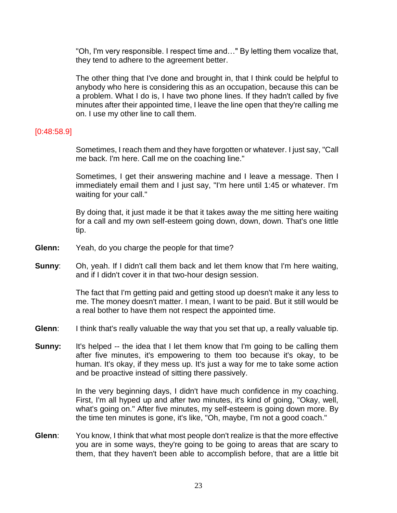"Oh, I'm very responsible. I respect time and…" By letting them vocalize that, they tend to adhere to the agreement better.

The other thing that I've done and brought in, that I think could be helpful to anybody who here is considering this as an occupation, because this can be a problem. What I do is, I have two phone lines. If they hadn't called by five minutes after their appointed time, I leave the line open that they're calling me on. I use my other line to call them.

#### [0:48:58.9]

Sometimes, I reach them and they have forgotten or whatever. I just say, "Call me back. I'm here. Call me on the coaching line."

Sometimes, I get their answering machine and I leave a message. Then I immediately email them and I just say, "I'm here until 1:45 or whatever. I'm waiting for your call."

By doing that, it just made it be that it takes away the me sitting here waiting for a call and my own self-esteem going down, down, down. That's one little tip.

- **Glenn:** Yeah, do you charge the people for that time?
- **Sunny**: Oh, yeah. If I didn't call them back and let them know that I'm here waiting, and if I didn't cover it in that two-hour design session.

The fact that I'm getting paid and getting stood up doesn't make it any less to me. The money doesn't matter. I mean, I want to be paid. But it still would be a real bother to have them not respect the appointed time.

- **Glenn**: I think that's really valuable the way that you set that up, a really valuable tip.
- **Sunny:** It's helped -- the idea that I let them know that I'm going to be calling them after five minutes, it's empowering to them too because it's okay, to be human. It's okay, if they mess up. It's just a way for me to take some action and be proactive instead of sitting there passively.

In the very beginning days, I didn't have much confidence in my coaching. First, I'm all hyped up and after two minutes, it's kind of going, "Okay, well, what's going on." After five minutes, my self-esteem is going down more. By the time ten minutes is gone, it's like, "Oh, maybe, I'm not a good coach."

**Glenn**: You know, I think that what most people don't realize is that the more effective you are in some ways, they're going to be going to areas that are scary to them, that they haven't been able to accomplish before, that are a little bit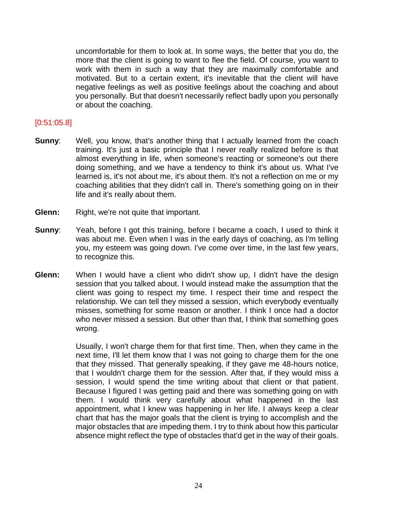uncomfortable for them to look at. In some ways, the better that you do, the more that the client is going to want to flee the field. Of course, you want to work with them in such a way that they are maximally comfortable and motivated. But to a certain extent, it's inevitable that the client will have negative feelings as well as positive feelings about the coaching and about you personally. But that doesn't necessarily reflect badly upon you personally or about the coaching.

#### [0:51:05.8]

- **Sunny:** Well, you know, that's another thing that I actually learned from the coach training. It's just a basic principle that I never really realized before is that almost everything in life, when someone's reacting or someone's out there doing something, and we have a tendency to think it's about us. What I've learned is, it's not about me, it's about them. It's not a reflection on me or my coaching abilities that they didn't call in. There's something going on in their life and it's really about them.
- **Glenn:** Right, we're not quite that important.
- **Sunny:** Yeah, before I got this training, before I became a coach, I used to think it was about me. Even when I was in the early days of coaching, as I'm telling you, my esteem was going down. I've come over time, in the last few years, to recognize this.
- **Glenn:** When I would have a client who didn't show up, I didn't have the design session that you talked about. I would instead make the assumption that the client was going to respect my time. I respect their time and respect the relationship. We can tell they missed a session, which everybody eventually misses, something for some reason or another. I think I once had a doctor who never missed a session. But other than that, I think that something goes wrong.

Usually, I won't charge them for that first time. Then, when they came in the next time, I'll let them know that I was not going to charge them for the one that they missed. That generally speaking, if they gave me 48-hours notice, that I wouldn't charge them for the session. After that, if they would miss a session, I would spend the time writing about that client or that patient. Because I figured I was getting paid and there was something going on with them. I would think very carefully about what happened in the last appointment, what I knew was happening in her life. I always keep a clear chart that has the major goals that the client is trying to accomplish and the major obstacles that are impeding them. I try to think about how this particular absence might reflect the type of obstacles that'd get in the way of their goals.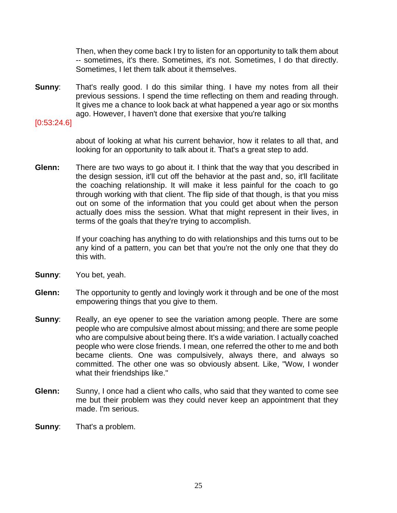Then, when they come back I try to listen for an opportunity to talk them about -- sometimes, it's there. Sometimes, it's not. Sometimes, I do that directly. Sometimes, I let them talk about it themselves.

**Sunny**: That's really good. I do this similar thing. I have my notes from all their previous sessions. I spend the time reflecting on them and reading through. It gives me a chance to look back at what happened a year ago or six months ago. However, I haven't done that exersixe that you're talking

[0:53:24.6]

about of looking at what his current behavior, how it relates to all that, and looking for an opportunity to talk about it. That's a great step to add.

**Glenn:** There are two ways to go about it. I think that the way that you described in the design session, it'll cut off the behavior at the past and, so, it'll facilitate the coaching relationship. It will make it less painful for the coach to go through working with that client. The flip side of that though, is that you miss out on some of the information that you could get about when the person actually does miss the session. What that might represent in their lives, in terms of the goals that they're trying to accomplish.

> If your coaching has anything to do with relationships and this turns out to be any kind of a pattern, you can bet that you're not the only one that they do this with.

- **Sunny**: You bet, yeah.
- **Glenn:** The opportunity to gently and lovingly work it through and be one of the most empowering things that you give to them.
- **Sunny:** Really, an eye opener to see the variation among people. There are some people who are compulsive almost about missing; and there are some people who are compulsive about being there. It's a wide variation. I actually coached people who were close friends. I mean, one referred the other to me and both became clients. One was compulsively, always there, and always so committed. The other one was so obviously absent. Like, "Wow, I wonder what their friendships like."
- **Glenn:** Sunny, I once had a client who calls, who said that they wanted to come see me but their problem was they could never keep an appointment that they made. I'm serious.
- **Sunny**: That's a problem.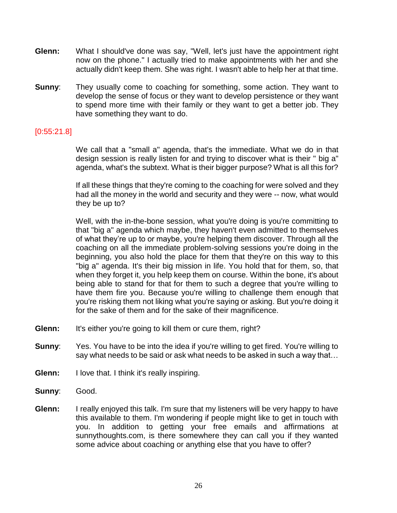- **Glenn:** What I should've done was say, "Well, let's just have the appointment right now on the phone." I actually tried to make appointments with her and she actually didn't keep them. She was right. I wasn't able to help her at that time.
- **Sunny:** They usually come to coaching for something, some action. They want to develop the sense of focus or they want to develop persistence or they want to spend more time with their family or they want to get a better job. They have something they want to do.

#### [0:55:21.8]

We call that a "small a" agenda, that's the immediate. What we do in that design session is really listen for and trying to discover what is their " big a" agenda, what's the subtext. What is their bigger purpose? What is all this for?

If all these things that they're coming to the coaching for were solved and they had all the money in the world and security and they were -- now, what would they be up to?

Well, with the in-the-bone session, what you're doing is you're committing to that "big a" agenda which maybe, they haven't even admitted to themselves of what they're up to or maybe, you're helping them discover. Through all the coaching on all the immediate problem-solving sessions you're doing in the beginning, you also hold the place for them that they're on this way to this "big a" agenda. It's their big mission in life. You hold that for them, so, that when they forget it, you help keep them on course. Within the bone, it's about being able to stand for that for them to such a degree that you're willing to have them fire you. Because you're willing to challenge them enough that you're risking them not liking what you're saying or asking. But you're doing it for the sake of them and for the sake of their magnificence.

- **Glenn:** It's either you're going to kill them or cure them, right?
- **Sunny:** Yes. You have to be into the idea if you're willing to get fired. You're willing to say what needs to be said or ask what needs to be asked in such a way that…
- **Glenn:** I love that. I think it's really inspiring.
- **Sunny**: Good.
- **Glenn:** I really enjoyed this talk. I'm sure that my listeners will be very happy to have this available to them. I'm wondering if people might like to get in touch with you. In addition to getting your free emails and affirmations at sunnythoughts.com, is there somewhere they can call you if they wanted some advice about coaching or anything else that you have to offer?